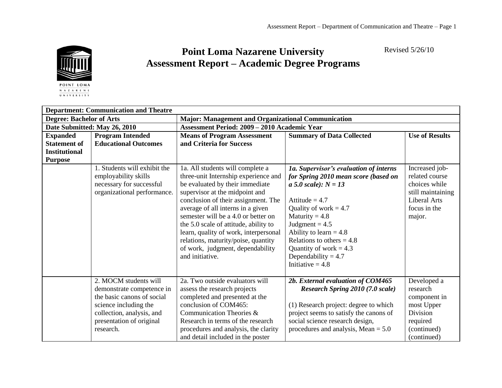Revised 5/26/10



## **Point Loma Nazarene University Assessment Report – Academic Degree Programs**

|                                 | <b>Department: Communication and Theatre</b> |                                                                         |                                                         |                       |  |
|---------------------------------|----------------------------------------------|-------------------------------------------------------------------------|---------------------------------------------------------|-----------------------|--|
| <b>Degree: Bachelor of Arts</b> |                                              | <b>Major: Management and Organizational Communication</b>               |                                                         |                       |  |
| Date Submitted: May 26, 2010    |                                              | <b>Assessment Period: 2009 - 2010 Academic Year</b>                     |                                                         |                       |  |
| <b>Expanded</b>                 | <b>Program Intended</b>                      | <b>Means of Program Assessment</b>                                      | <b>Summary of Data Collected</b>                        | <b>Use of Results</b> |  |
| <b>Statement of</b>             | <b>Educational Outcomes</b>                  | and Criteria for Success                                                |                                                         |                       |  |
| <b>Institutional</b>            |                                              |                                                                         |                                                         |                       |  |
| <b>Purpose</b>                  |                                              |                                                                         |                                                         |                       |  |
|                                 | 1. Students will exhibit the                 | 1a. All students will complete a                                        | 1a. Supervisor's evaluation of interns                  | Increased job-        |  |
|                                 | employability skills                         | three-unit Internship experience and                                    | for Spring 2010 mean score (based on                    | related course        |  |
|                                 | necessary for successful                     | be evaluated by their immediate                                         | <i>a</i> 5.0 scale): $N = 13$                           | choices while         |  |
|                                 | organizational performance.                  | supervisor at the midpoint and                                          |                                                         | still maintaining     |  |
|                                 |                                              | conclusion of their assignment. The                                     | Attitude $= 4.7$                                        | <b>Liberal Arts</b>   |  |
|                                 |                                              | average of all interns in a given                                       | Quality of work $= 4.7$                                 | focus in the          |  |
|                                 |                                              | semester will be a 4.0 or better on                                     | Maturity = $4.8$                                        | major.                |  |
|                                 |                                              | the 5.0 scale of attitude, ability to                                   | Judgment = $4.5$                                        |                       |  |
|                                 |                                              | learn, quality of work, interpersonal                                   | Ability to learn = $4.8$<br>Relations to others $= 4.8$ |                       |  |
|                                 |                                              | relations, maturity/poise, quantity<br>of work, judgment, dependability | Quantity of work = $4.3$                                |                       |  |
|                                 |                                              | and initiative.                                                         | Dependability = $4.7$                                   |                       |  |
|                                 |                                              |                                                                         | Initiative $= 4.8$                                      |                       |  |
|                                 |                                              |                                                                         |                                                         |                       |  |
|                                 | 2. MOCM students will                        | 2a. Two outside evaluators will                                         | 2b. External evaluation of COM465                       | Developed a           |  |
|                                 | demonstrate competence in                    | assess the research projects                                            | <b>Research Spring 2010 (7.0 scale)</b>                 | research              |  |
|                                 | the basic canons of social                   | completed and presented at the                                          |                                                         | component in          |  |
|                                 | science including the                        | conclusion of COM465:                                                   | (1) Research project: degree to which                   | most Upper            |  |
|                                 | collection, analysis, and                    | Communication Theories &                                                | project seems to satisfy the canons of                  | Division              |  |
|                                 | presentation of original                     | Research in terms of the research                                       | social science research design,                         | required              |  |
|                                 | research.                                    | procedures and analysis, the clarity                                    | procedures and analysis, Mean $= 5.0$                   | (continued)           |  |
|                                 |                                              | and detail included in the poster                                       |                                                         | (continued)           |  |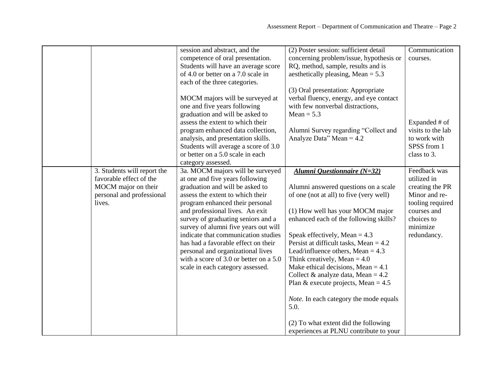| 3. Students will report the                                                           | session and abstract, and the<br>competence of oral presentation.<br>Students will have an average score<br>of 4.0 or better on a 7.0 scale in<br>each of the three categories.<br>MOCM majors will be surveyed at<br>one and five years following<br>graduation and will be asked to<br>assess the extent to which their<br>program enhanced data collection,<br>analysis, and presentation skills.<br>Students will average a score of 3.0<br>or better on a 5.0 scale in each<br>category assessed.<br>3a. MOCM majors will be surveyed | (2) Poster session: sufficient detail<br>concerning problem/issue, hypothesis or<br>RQ, method, sample, results and is<br>aesthetically pleasing, Mean = $5.3$<br>(3) Oral presentation: Appropriate<br>verbal fluency, energy, and eye contact<br>with few nonverbal distractions,<br>$Mean = 5.3$<br>Alumni Survey regarding "Collect and<br>Analyze Data" Mean = $4.2$<br>Alumni Questionnaire (N=32)                                                                                                                                                                           | Communication<br>courses.<br>Expanded # of<br>visits to the lab<br>to work with<br>SPSS from 1<br>class to 3.<br>Feedback was |
|---------------------------------------------------------------------------------------|--------------------------------------------------------------------------------------------------------------------------------------------------------------------------------------------------------------------------------------------------------------------------------------------------------------------------------------------------------------------------------------------------------------------------------------------------------------------------------------------------------------------------------------------|------------------------------------------------------------------------------------------------------------------------------------------------------------------------------------------------------------------------------------------------------------------------------------------------------------------------------------------------------------------------------------------------------------------------------------------------------------------------------------------------------------------------------------------------------------------------------------|-------------------------------------------------------------------------------------------------------------------------------|
| favorable effect of the<br>MOCM major on their<br>personal and professional<br>lives. | at one and five years following<br>graduation and will be asked to<br>assess the extent to which their<br>program enhanced their personal<br>and professional lives. An exit<br>survey of graduating seniors and a<br>survey of alumni five years out will<br>indicate that communication studies<br>has had a favorable effect on their<br>personal and organizational lives<br>with a score of 3.0 or better on a 5.0<br>scale in each category assessed.                                                                                | Alumni answered questions on a scale<br>of one (not at all) to five (very well)<br>(1) How well has your MOCM major<br>enhanced each of the following skills?<br>Speak effectively, Mean = $4.3$<br>Persist at difficult tasks, Mean $= 4.2$<br>Lead/influence others, Mean = $4.3$<br>Think creatively, Mean = $4.0$<br>Make ethical decisions, Mean $= 4.1$<br>Collect & analyze data, Mean = $4.2$<br>Plan & execute projects, Mean = $4.5$<br>Note. In each category the mode equals<br>5.0.<br>(2) To what extent did the following<br>experiences at PLNU contribute to your | utilized in<br>creating the PR<br>Minor and re-<br>tooling required<br>courses and<br>choices to<br>minimize<br>redundancy.   |